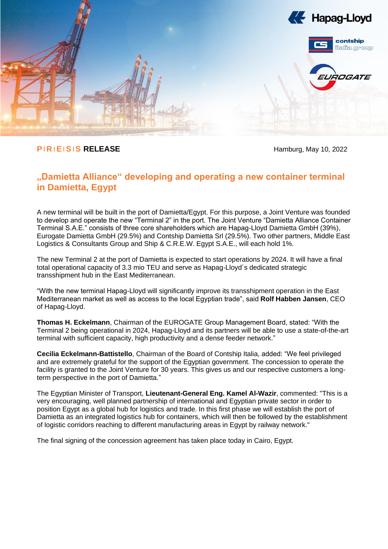

# **PIRIEISIS RELEASE** Hamburg, May 10, 2022

# **"Damietta Alliance" developing and operating a new container terminal in Damietta, Egypt**

A new terminal will be built in the port of Damietta/Egypt. For this purpose, a Joint Venture was founded to develop and operate the new "Terminal 2" in the port. The Joint Venture "Damietta Alliance Container Terminal S.A.E." consists of three core shareholders which are Hapag-Lloyd Damietta GmbH (39%), Eurogate Damietta GmbH (29.5%) and Contship Damietta Srl (29.5%). Two other partners, Middle East Logistics & Consultants Group and Ship & C.R.E.W. Egypt S.A.E., will each hold 1%.

The new Terminal 2 at the port of Damietta is expected to start operations by 2024. It will have a final total operational capacity of 3.3 mio TEU and serve as Hapag-Lloyd´s dedicated strategic transshipment hub in the East Mediterranean.

"With the new terminal Hapag-Lloyd will significantly improve its transshipment operation in the East Mediterranean market as well as access to the local Egyptian trade", said **Rolf Habben Jansen**, CEO of Hapag-Lloyd.

**Thomas H. Eckelmann**, Chairman of the EUROGATE Group Management Board, stated: "With the Terminal 2 being operational in 2024, Hapag-Lloyd and its partners will be able to use a state-of-the-art terminal with sufficient capacity, high productivity and a dense feeder network."

**Cecilia Eckelmann-Battistello**, Chairman of the Board of Contship Italia, added: "We feel privileged and are extremely grateful for the support of the Egyptian government. The concession to operate the facility is granted to the Joint Venture for 30 years. This gives us and our respective customers a longterm perspective in the port of Damietta."

The Egyptian Minister of Transport, **Lieutenant-General Eng. Kamel Al-Wazir**, commented: "This is a very encouraging, well planned partnership of international and Egyptian private sector in order to position Egypt as a global hub for logistics and trade. In this first phase we will establish the port of Damietta as an integrated logistics hub for containers, which will then be followed by the establishment of logistic corridors reaching to different manufacturing areas in Egypt by railway network."

The final signing of the concession agreement has taken place today in Cairo, Egypt.